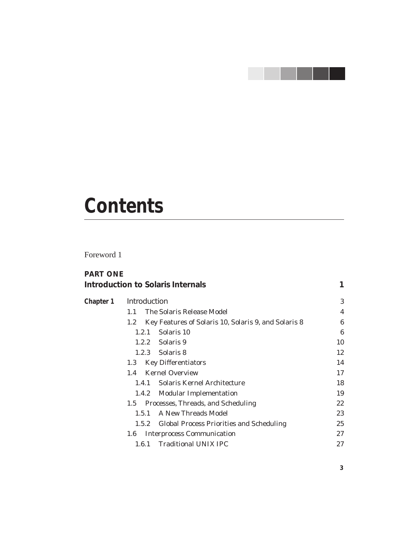# <u> Tanzania de la pro</u>

# **Contents**

Foreword 1

| <b>PART ONE</b> | Introduction to Solaris Internals |                                                      | 1                |
|-----------------|-----------------------------------|------------------------------------------------------|------------------|
| Chapter 1       | Introduction                      |                                                      |                  |
|                 | The Solaris Release Model<br>1.1  |                                                      | $\boldsymbol{4}$ |
|                 | 1.2                               | Key Features of Solaris 10, Solaris 9, and Solaris 8 | 6                |
|                 | Solaris 10<br>1.2.1               |                                                      | 6                |
|                 | 1.2.2 Solaris 9                   |                                                      | 10               |
|                 | 1.2.3 Solaris 8                   |                                                      | 12               |
|                 | <b>Key Differentiators</b><br>1.3 |                                                      | 14               |
|                 | <b>Kernel Overview</b><br>1.4     |                                                      | 17               |
|                 | 1.4.1                             | Solaris Kernel Architecture                          | 18               |
|                 | 1.4.2                             | <b>Modular Implementation</b>                        | 19               |
|                 | 1.5                               | Processes, Threads, and Scheduling                   | $22\,$           |
|                 | 1.5.1 A New Threads Model         |                                                      | 23               |
|                 | 1.5.2                             | <b>Global Process Priorities and Scheduling</b>      | 25               |
|                 | 1.6                               | <b>Interprocess Communication</b>                    | 27               |
|                 | 1.6.1                             | <b>Traditional UNIX IPC</b>                          | 27               |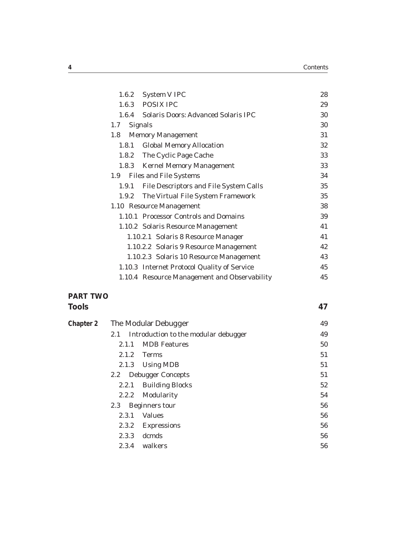|                  | 1.6.2 System V IPC                           | 28 |
|------------------|----------------------------------------------|----|
|                  | 1.6.3 POSIX IPC                              | 29 |
| 1.6.4            | <b>Solaris Doors: Advanced Solaris IPC</b>   | 30 |
| 1.7              | <b>Signals</b>                               | 30 |
| 1.8 <sub>1</sub> | <b>Memory Management</b>                     | 31 |
| 1.8.1            | <b>Global Memory Allocation</b>              | 32 |
|                  | 1.8.2 The Cyclic Page Cache                  | 33 |
|                  | 1.8.3 Kernel Memory Management               | 33 |
| 1.9              | <b>Files and File Systems</b>                | 34 |
| 1.9.1            | File Descriptors and File System Calls       | 35 |
| 1.9.2            | The Virtual File System Framework            | 35 |
|                  | 1.10 Resource Management                     | 38 |
|                  | 1.10.1 Processor Controls and Domains        | 39 |
|                  | 1.10.2 Solaris Resource Management           | 41 |
|                  | 1.10.2.1 Solaris 8 Resource Manager          | 41 |
|                  | 1.10.2.2 Solaris 9 Resource Management       | 42 |
|                  | 1.10.2.3 Solaris 10 Resource Management      | 43 |
|                  | 1.10.3 Internet Protocol Quality of Service  | 45 |
|                  | 1.10.4 Resource Management and Observability | 45 |
|                  |                                              |    |

## **PART TWO**

| <b>Tools</b> |                  |                                      | 47 |
|--------------|------------------|--------------------------------------|----|
| Chapter 2    |                  | The Modular Debugger                 | 49 |
|              | 2.1              | Introduction to the modular debugger | 49 |
|              | 2.1.1            | <b>MDB</b> Features                  | 50 |
|              | 2.1.2            | <b>Terms</b>                         | 51 |
|              | 2.1.3            | <b>Using MDB</b>                     | 51 |
|              | $2.2\phantom{0}$ | <b>Debugger Concepts</b>             | 51 |
|              | 2.2.1            | <b>Building Blocks</b>               | 52 |
|              | 2.2.2            | Modularity                           | 54 |
|              | 2.3              | <b>Beginners tour</b>                | 56 |
|              | 2.3.1            | <b>Values</b>                        | 56 |
|              | 2.3.2            | <b>Expressions</b>                   | 56 |
|              | 2.3.3            | dcmds                                | 56 |
|              | 2.3.4            | walkers                              | 56 |
|              |                  |                                      |    |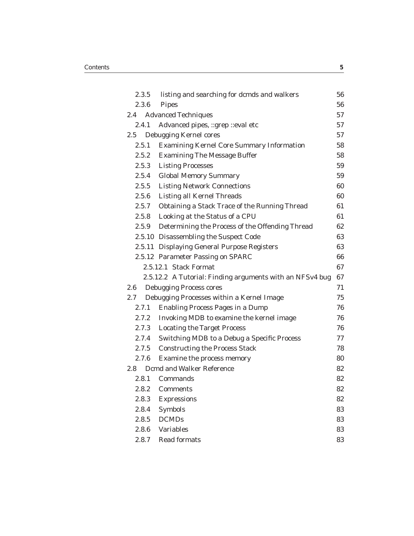|                       | 2.3.5 | listing and searching for dcmds and walkers              | 56 |
|-----------------------|-------|----------------------------------------------------------|----|
| 2.3.6<br><b>Pipes</b> |       |                                                          | 56 |
|                       | 2.4   | <b>Advanced Techniques</b>                               | 57 |
|                       | 2.4.1 | Advanced pipes, :: grep :: eval etc                      | 57 |
|                       | 2.5   | Debugging Kernel cores                                   | 57 |
|                       | 2.5.1 | <b>Examining Kernel Core Summary Information</b>         | 58 |
|                       | 2.5.2 | <b>Examining The Message Buffer</b>                      | 58 |
|                       | 2.5.3 | <b>Listing Processes</b>                                 | 59 |
|                       | 2.5.4 | <b>Global Memory Summary</b>                             | 59 |
|                       | 2.5.5 | <b>Listing Network Connections</b>                       | 60 |
|                       | 2.5.6 | <b>Listing all Kernel Threads</b>                        | 60 |
|                       | 2.5.7 | <b>Obtaining a Stack Trace of the Running Thread</b>     | 61 |
|                       | 2.5.8 | Looking at the Status of a CPU                           | 61 |
|                       | 2.5.9 | Determining the Process of the Offending Thread          | 62 |
|                       |       | 2.5.10 Disassembling the Suspect Code                    | 63 |
|                       |       | 2.5.11 Displaying General Purpose Registers              | 63 |
|                       |       | 2.5.12 Parameter Passing on SPARC                        | 66 |
|                       |       | 2.5.12.1 Stack Format                                    | 67 |
|                       |       | 2.5.12.2 A Tutorial: Finding arguments with an NFSv4 bug | 67 |
| 2.6                   |       | <b>Debugging Process cores</b>                           | 71 |
| 2.7                   |       | Debugging Processes within a Kernel Image                | 75 |
|                       | 2.7.1 | <b>Enabling Process Pages in a Dump</b>                  | 76 |
|                       | 2.7.2 | Invoking MDB to examine the kernel image                 | 76 |
|                       |       | 2.7.3 Locating the Target Process                        | 76 |
|                       | 2.7.4 | Switching MDB to a Debug a Specific Process              | 77 |
|                       |       | 2.7.5 Constructing the Process Stack                     | 78 |
|                       | 2.7.6 | Examine the process memory                               | 80 |
|                       | 2.8   | <b>Dcmd and Walker Reference</b>                         | 82 |
|                       | 2.8.1 | Commands                                                 | 82 |
|                       | 2.8.2 | Comments                                                 | 82 |
|                       | 2.8.3 | <b>Expressions</b>                                       | 82 |
|                       | 2.8.4 | <b>Symbols</b>                                           | 83 |
|                       | 2.8.5 | <b>DCMDs</b>                                             | 83 |
|                       | 2.8.6 | <b>Variables</b>                                         | 83 |
|                       | 2.8.7 | <b>Read formats</b>                                      | 83 |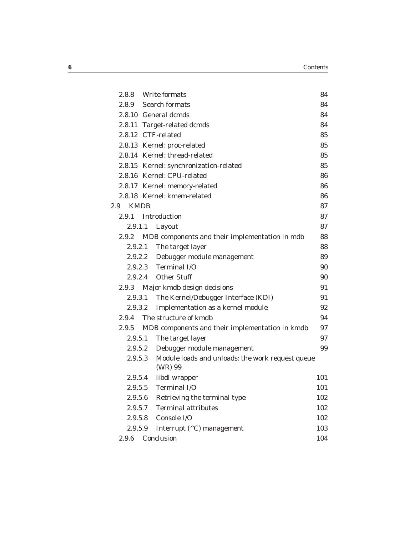|                    | 2.8.8 Write formats                                         | 84  |
|--------------------|-------------------------------------------------------------|-----|
|                    | 2.8.9 Search formats                                        | 84  |
|                    | 2.8.10 General dcmds                                        | 84  |
|                    | 2.8.11 Target-related dcmds                                 | 84  |
|                    | 2.8.12 CTF-related                                          | 85  |
|                    | 2.8.13 Kernel: proc-related                                 | 85  |
|                    | 2.8.14 Kernel: thread-related                               | 85  |
|                    | 2.8.15 Kernel: synchronization-related                      | 85  |
|                    | 2.8.16 Kernel: CPU-related                                  | 86  |
|                    | 2.8.17 Kernel: memory-related                               | 86  |
|                    | 2.8.18 Kernel: kmem-related                                 | 86  |
| <b>KMDB</b><br>2.9 |                                                             | 87  |
|                    | 2.9.1 Introduction                                          | 87  |
| 2.9.1.1            | Layout                                                      | 87  |
| 2.9.2              | MDB components and their implementation in mdb              | 88  |
| 2.9.2.1            | The target layer                                            | 88  |
|                    | 2.9.2.2 Debugger module management                          | 89  |
|                    | 2.9.2.3 Terminal I/O                                        | 90  |
|                    | 2.9.2.4 Other Stuff                                         | 90  |
|                    | 2.9.3 Major kmdb design decisions                           | 91  |
| 2.9.3.1            | The Kernel/Debugger Interface (KDI)                         | 91  |
| 2.9.3.2            | Implementation as a kernel module                           | 92  |
| 2.9.4              | The structure of kmdb                                       | 94  |
| 2.9.5              | MDB components and their implementation in kmdb             | 97  |
| 2.9.5.1            | The target layer                                            | 97  |
|                    | 2.9.5.2 Debugger module management                          | 99  |
| 2.9.5.3            | Module loads and unloads: the work request queue<br>(WR) 99 |     |
|                    | 2.9.5.4 libdl wrapper                                       | 101 |
| 2.9.5.5            | Terminal I/O                                                | 101 |
|                    | 2.9.5.6 Retrieving the terminal type                        | 102 |
|                    | 2.9.5.7 Terminal attributes                                 | 102 |
|                    | 2.9.5.8 Console I/O                                         | 102 |
| 2.9.5.9            | Interrupt (^C) management                                   | 103 |
| 2.9.6              | Conclusion                                                  | 104 |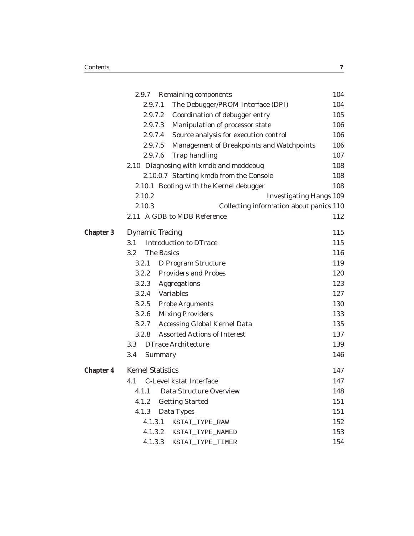|           | 2.9.7<br><b>Remaining components</b>                 | 104 |
|-----------|------------------------------------------------------|-----|
|           | The Debugger/PROM Interface (DPI)<br>2.9.7.1         | 104 |
|           | 2.9.7.2<br>Coordination of debugger entry            | 105 |
|           | 2.9.7.3<br>Manipulation of processor state           | 106 |
|           | 2.9.7.4<br>Source analysis for execution control     | 106 |
|           | 2.9.7.5<br>Management of Breakpoints and Watchpoints | 106 |
|           | 2.9.7.6<br><b>Trap handling</b>                      | 107 |
|           | 2.10 Diagnosing with kmdb and moddebug               | 108 |
|           | 2.10.0.7 Starting kmdb from the Console              | 108 |
|           | 2.10.1 Booting with the Kernel debugger              | 108 |
|           | 2.10.2<br><b>Investigating Hangs 109</b>             |     |
|           | 2.10.3<br>Collecting information about panics 110    |     |
|           | 2.11 A GDB to MDB Reference                          | 112 |
| Chapter 3 | <b>Dynamic Tracing</b>                               | 115 |
|           | <b>Introduction to DTrace</b><br>3.1                 | 115 |
|           | <b>The Basics</b><br>3.2                             | 116 |
|           | D Program Structure<br>3.2.1                         | 119 |
|           | <b>Providers and Probes</b><br>3.2.2                 | 120 |
|           | 3.2.3<br>Aggregations                                | 123 |
|           | 3.2.4<br>Variables                                   | 127 |
|           | 3.2.5<br><b>Probe Arguments</b>                      | 130 |
|           | 3.2.6<br><b>Mixing Providers</b>                     | 133 |
|           | 3.2.7<br><b>Accessing Global Kernel Data</b>         | 135 |
|           | <b>Assorted Actions of Interest</b><br>3.2.8         | 137 |
|           | <b>DTrace Architecture</b><br>3.3                    | 139 |
|           | 3.4<br>Summary                                       | 146 |
| Chapter 4 | <b>Kernel Statistics</b>                             | 147 |
|           | C-Level kstat Interface<br>4.1                       | 147 |
|           | 4.1.1 Data Structure Overview                        | 148 |
|           | <b>Getting Started</b><br>4.1.2                      | 151 |
|           | 4.1.3<br>Data Types                                  | 151 |
|           | 4.1.3.1<br>KSTAT_TYPE_RAW                            | 152 |
|           | 4.1.3.2<br>KSTAT_TYPE_NAMED                          | 153 |
|           | 4.1.3.3<br>KSTAT_TYPE_TIMER                          | 154 |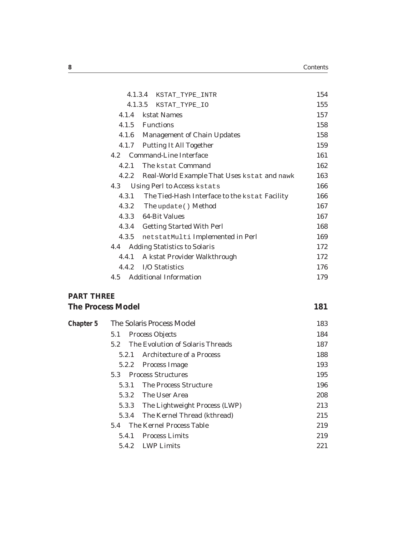| 4.1.3.4 KSTAT_TYPE_INTR                                | 154 |
|--------------------------------------------------------|-----|
| 4.1.3.5 KSTAT_TYPE_IO                                  | 155 |
| kstat Names<br>4.1.4                                   | 157 |
| 4.1.5 Functions                                        | 158 |
| 4.1.6 Management of Chain Updates                      | 158 |
| <b>Putting It All Together</b><br>4.1.7                | 159 |
| 4.2 Command-Line Interface                             | 161 |
| The kstat Command<br>4.2.1                             | 162 |
| Real-World Example That Uses kstat and nawk<br>4.2.2   | 163 |
| Using Perl to Access kstats<br>4.3                     | 166 |
| 4.3.1<br>The Tied-Hash Interface to the kstat Facility | 166 |
| 4.3.2 The update () Method                             | 167 |
| 4.3.3 64-Bit Values                                    | 167 |
| 4.3.4<br><b>Getting Started With Perl</b>              | 168 |
| 4.3.5<br>netstatMulti Implemented in Perl              | 169 |
| <b>Adding Statistics to Solaris</b><br>4.4             | 172 |
| A kstat Provider Walkthrough<br>4.4.1                  | 172 |
| I/O Statistics<br>4.4.2                                | 176 |
| <b>Additional Information</b><br>4.5                   | 179 |
| חחחווד די                                              |     |

### **PART THREE**

| <b>The Process Model</b> |  |
|--------------------------|--|
|                          |  |

| Chapter 5 | The Solaris Process Model               | 183 |
|-----------|-----------------------------------------|-----|
|           | <b>Process Objects</b><br>5.1           | 184 |
|           | The Evolution of Solaris Threads<br>5.2 | 187 |
|           | Architecture of a Process<br>5.2.1      | 188 |
|           | Process Image<br>5.2.2                  | 193 |
|           | <b>Process Structures</b><br>5.3        | 195 |
|           | <b>The Process Structure</b><br>5.3.1   | 196 |
|           | The User Area<br>5.3.2                  | 208 |
|           | The Lightweight Process (LWP)<br>5.3.3  | 213 |
|           | The Kernel Thread (kthread)<br>5.3.4    | 215 |
|           | The Kernel Process Table<br>5.4         | 219 |
|           | <b>Process Limits</b><br>5.4.1          | 219 |
|           | LWP Limits<br>5.4.2                     | 221 |
|           |                                         |     |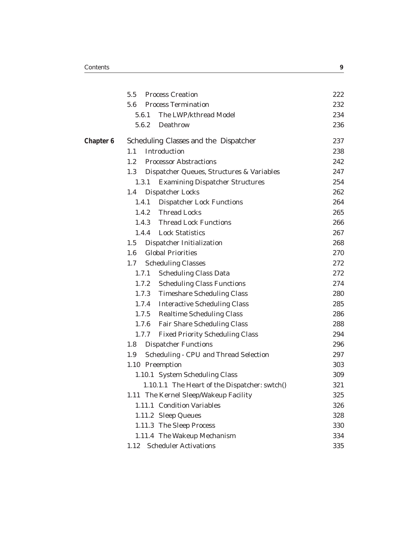|           | <b>Process Creation</b><br>5.5                   | 222 |
|-----------|--------------------------------------------------|-----|
|           | <b>Process Termination</b><br>5.6                | 232 |
|           | The LWP/kthread Model<br>5.6.1                   | 234 |
|           | Deathrow<br>5.6.2                                | 236 |
| Chapter 6 | Scheduling Classes and the Dispatcher            | 237 |
|           | 1.1<br>Introduction                              | 238 |
|           | <b>Processor Abstractions</b><br>1.2             | 242 |
|           | 1.3<br>Dispatcher Queues, Structures & Variables | 247 |
|           | <b>Examining Dispatcher Structures</b><br>1.3.1  | 254 |
|           | <b>Dispatcher Locks</b><br>1.4                   | 262 |
|           | <b>Dispatcher Lock Functions</b><br>1.4.1        | 264 |
|           | 1.4.2 Thread Locks                               | 265 |
|           | 1.4.3 Thread Lock Functions                      | 266 |
|           | 1.4.4 Lock Statistics                            | 267 |
|           | Dispatcher Initialization<br>1.5                 | 268 |
|           | <b>Global Priorities</b><br>1.6                  | 270 |
|           | <b>Scheduling Classes</b><br>1.7                 | 272 |
|           | <b>Scheduling Class Data</b><br>1.7.1            | 272 |
|           | 1.7.2 Scheduling Class Functions                 | 274 |
|           | 1.7.3 Timeshare Scheduling Class                 | 280 |
|           | 1.7.4 Interactive Scheduling Class               | 285 |
|           | 1.7.5 Realtime Scheduling Class                  | 286 |
|           | 1.7.6 Fair Share Scheduling Class                | 288 |
|           | 1.7.7 Fixed Priority Scheduling Class            | 294 |
|           | <b>Dispatcher Functions</b><br>1.8               | 296 |
|           | Scheduling - CPU and Thread Selection<br>1.9     | 297 |
|           | 1.10 Preemption                                  | 303 |
|           | 1.10.1 System Scheduling Class                   | 309 |
|           | 1.10.1.1 The Heart of the Dispatcher: swtch()    | 321 |
|           | 1.11 The Kernel Sleep/Wakeup Facility            | 325 |
|           | 1.11.1 Condition Variables                       | 326 |
|           | 1.11.2 Sleep Queues                              | 328 |
|           | 1.11.3 The Sleep Process                         | 330 |
|           | 1.11.4 The Wakeup Mechanism                      | 334 |
|           | <b>Scheduler Activations</b><br>1.12             | 335 |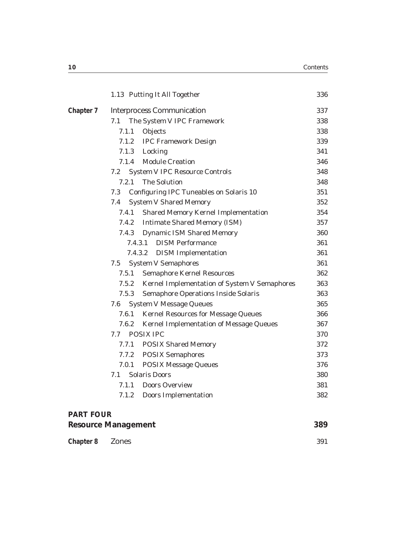|           |         | 1.13 Putting It All Together                        | 336 |
|-----------|---------|-----------------------------------------------------|-----|
| Chapter 7 |         | <b>Interprocess Communication</b>                   | 337 |
|           | 7.1     | The System V IPC Framework                          | 338 |
|           | 7.1.1   | Objects                                             | 338 |
|           | 7.1.2   | <b>IPC Framework Design</b>                         | 339 |
|           | 7.1.3   | Locking                                             | 341 |
|           | 7.1.4   | <b>Module Creation</b>                              | 346 |
|           | 7.2     | <b>System V IPC Resource Controls</b>               | 348 |
|           | 7.2.1   | <b>The Solution</b>                                 | 348 |
|           | 7.3     | <b>Configuring IPC Tuneables on Solaris 10</b>      | 351 |
|           | 7.4     | <b>System V Shared Memory</b>                       | 352 |
|           | 7.4.1   | <b>Shared Memory Kernel Implementation</b>          | 354 |
|           | 7.4.2   | <b>Intimate Shared Memory (ISM)</b>                 | 357 |
|           | 7.4.3   | <b>Dynamic ISM Shared Memory</b>                    | 360 |
|           | 7.4.3.1 | <b>DISM Performance</b>                             | 361 |
|           | 7.4.3.2 | <b>DISM</b> Implementation                          | 361 |
|           | 7.5     | <b>System V Semaphores</b>                          | 361 |
|           | 7.5.1   | <b>Semaphore Kernel Resources</b>                   | 362 |
|           | 7.5.2   | <b>Kernel Implementation of System V Semaphores</b> | 363 |
|           | 7.5.3   | <b>Semaphore Operations Inside Solaris</b>          | 363 |
|           | 7.6     | <b>System V Message Queues</b>                      | 365 |
|           | 7.6.1   | <b>Kernel Resources for Message Queues</b>          | 366 |
|           | 7.6.2   | <b>Kernel Implementation of Message Queues</b>      | 367 |
|           | 7.7     | <b>POSIX IPC</b>                                    | 370 |
|           | 7.7.1   | <b>POSIX Shared Memory</b>                          | 372 |
|           | 7.7.2   | <b>POSIX Semaphores</b>                             | 373 |
|           | 7.0.1   | <b>POSIX Message Queues</b>                         | 376 |
|           | 7.1     | <b>Solaris Doors</b>                                | 380 |
|           | 7.1.1   | <b>Doors Overview</b>                               | 381 |
|           | 7.1.2   | <b>Doors Implementation</b>                         | 382 |
|           |         |                                                     |     |

#### **PART FOUR**

| <b>Resource Management</b> | 389 |
|----------------------------|-----|
|                            |     |

| Chapter 8 Zones |  |  |  | 391 |
|-----------------|--|--|--|-----|
|-----------------|--|--|--|-----|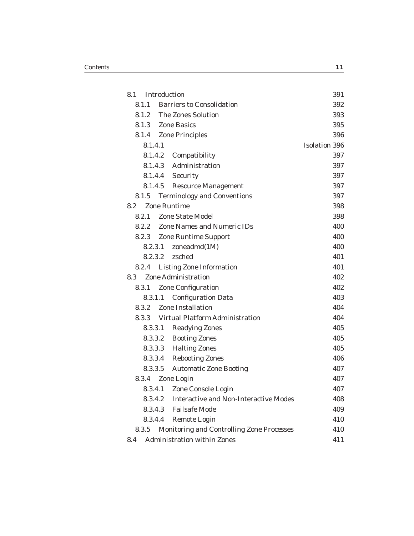| 8.1     | Introduction                                  | 391                  |
|---------|-----------------------------------------------|----------------------|
| 8.1.1   | <b>Barriers to Consolidation</b>              | 392                  |
| 8.1.2   | <b>The Zones Solution</b>                     | 393                  |
|         | 8.1.3 Zone Basics                             | 395                  |
|         | 8.1.4 Zone Principles                         | 396                  |
| 8.1.4.1 |                                               | <b>Isolation 396</b> |
|         | 8.1.4.2 Compatibility                         | 397                  |
|         | 8.1.4.3 Administration                        | 397                  |
|         | 8.1.4.4 Security                              | 397                  |
| 8.1.4.5 | <b>Resource Management</b>                    | 397                  |
| 8.1.5   | <b>Terminology and Conventions</b>            | 397                  |
| 8.2     | <b>Zone Runtime</b>                           | 398                  |
|         | 8.2.1 Zone State Model                        | 398                  |
| 8.2.2   | <b>Zone Names and Numeric IDs</b>             | 400                  |
|         | 8.2.3 Zone Runtime Support                    | 400                  |
| 8.2.3.1 | zoneadmd(1M)                                  | 400                  |
| 8.2.3.2 | zsched                                        | 401                  |
| 8.2.4   | <b>Listing Zone Information</b>               | 401                  |
| 8.3     | <b>Zone Administration</b>                    | 402                  |
| 8.3.1   | <b>Zone Configuration</b>                     | 402                  |
| 8.3.1.1 | <b>Configuration Data</b>                     | 403                  |
| 8.3.2   | <b>Zone Installation</b>                      | 404                  |
|         | 8.3.3 Virtual Platform Administration         | 404                  |
| 8.3.3.1 | <b>Readying Zones</b>                         | 405                  |
|         | 8.3.3.2<br><b>Booting Zones</b>               | 405                  |
|         | 8.3.3.3 Halting Zones                         | 405                  |
|         | 8.3.3.4 Rebooting Zones                       | 406                  |
|         | 8.3.3.5 Automatic Zone Booting                | 407                  |
|         | 8.3.4 Zone Login                              | 407                  |
| 8.3.4.1 | Zone Console Login                            | 407                  |
|         | 8.3.4.2 Interactive and Non-Interactive Modes | 408                  |
|         | 8.3.4.3 Failsafe Mode                         | 409                  |
|         | 8.3.4.4 Remote Login                          | 410                  |
| 8.3.5   | Monitoring and Controlling Zone Processes     | 410                  |
| 8.4     | <b>Administration within Zones</b>            | 411                  |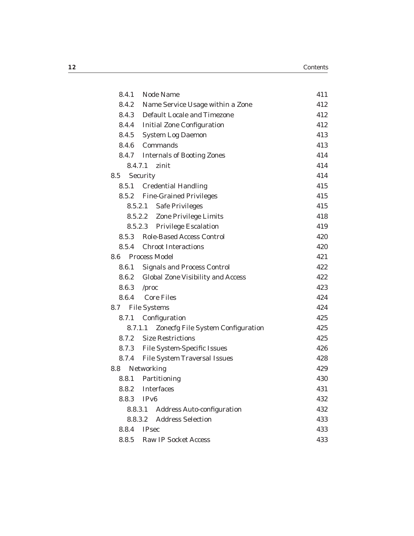|     | 8.4.1   | <b>Node Name</b>                         | 411 |
|-----|---------|------------------------------------------|-----|
|     |         | 8.4.2 Name Service Usage within a Zone   | 412 |
|     |         | 8.4.3 Default Locale and Timezone        | 412 |
|     |         | 8.4.4 Initial Zone Configuration         | 412 |
|     |         | 8.4.5 System Log Daemon                  | 413 |
|     |         | 8.4.6 Commands                           | 413 |
|     |         | 8.4.7 Internals of Booting Zones         | 414 |
|     | 8.4.7.1 | zinit                                    | 414 |
| 8.5 |         | Security                                 | 414 |
|     | 8.5.1   | <b>Credential Handling</b>               | 415 |
|     | 8.5.2   | <b>Fine-Grained Privileges</b>           | 415 |
|     | 8.5.2.1 | <b>Safe Privileges</b>                   | 415 |
|     |         | 8.5.2.2 Zone Privilege Limits            | 418 |
|     |         | 8.5.2.3 Privilege Escalation             | 419 |
|     | 8.5.3   | <b>Role-Based Access Control</b>         | 420 |
|     | 8.5.4   | <b>Chroot Interactions</b>               | 420 |
|     |         | 8.6 Process Model                        | 421 |
|     | 8.6.1   | <b>Signals and Process Control</b>       | 422 |
|     |         | 8.6.2 Global Zone Visibility and Access  | 422 |
|     |         | 8.6.3 /proc                              | 423 |
|     |         | 8.6.4 Core Files                         | 424 |
| 8.7 |         | <b>File Systems</b>                      | 424 |
|     | 8.7.1   | Configuration                            | 425 |
|     | 8.7.1.1 | <b>Zonecfg File System Configuration</b> | 425 |
|     | 8.7.2   | <b>Size Restrictions</b>                 | 425 |
|     |         | 8.7.3 File System-Specific Issues        | 426 |
|     | 8.7.4   | <b>File System Traversal Issues</b>      | 428 |
| 8.8 |         | Networking                               | 429 |
|     | 8.8.1   | Partitioning                             | 430 |
|     | 8.8.2   | <b>Interfaces</b>                        | 431 |
|     | 8.8.3   | IPv6                                     | 432 |
|     |         | 8.8.3.1 Address Auto-configuration       | 432 |
|     | 8.8.3.2 | <b>Address Selection</b>                 | 433 |
|     |         | 8.8.4 IPsec                              | 433 |
|     | 8.8.5   | <b>Raw IP Socket Access</b>              | 433 |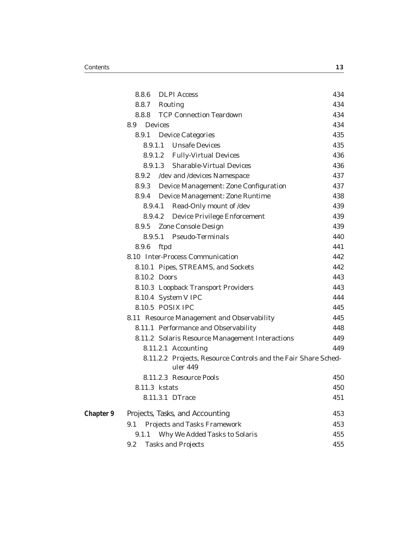|           | 8.8.6         |                | <b>DLPI</b> Access                                                         | 434 |
|-----------|---------------|----------------|----------------------------------------------------------------------------|-----|
|           | 8.8.7 Routing |                |                                                                            | 434 |
|           |               |                | 8.8.8 TCP Connection Teardown                                              | 434 |
|           | 8.9           | <b>Devices</b> |                                                                            | 434 |
|           |               |                | 8.9.1 Device Categories                                                    | 435 |
|           |               |                | 8.9.1.1 Unsafe Devices                                                     | 435 |
|           |               |                | 8.9.1.2 Fully-Virtual Devices                                              | 436 |
|           |               |                | 8.9.1.3 Sharable-Virtual Devices                                           | 436 |
|           | 8.9.2         |                | /dev and /devices Namespace                                                | 437 |
|           | 8.9.3         |                | <b>Device Management: Zone Configuration</b>                               | 437 |
|           | 8.9.4         |                | <b>Device Management: Zone Runtime</b>                                     | 438 |
|           | 8.9.4.1       |                | Read-Only mount of /dev                                                    | 439 |
|           | 8.9.4.2       |                | <b>Device Privilege Enforcement</b>                                        | 439 |
|           | 8.9.5         |                | <b>Zone Console Design</b>                                                 | 439 |
|           |               |                | 8.9.5.1 Pseudo-Terminals                                                   | 440 |
|           | 8.9.6         | ftpd           |                                                                            | 441 |
|           |               |                | 8.10 Inter-Process Communication                                           | 442 |
|           |               |                | 8.10.1 Pipes, STREAMS, and Sockets                                         | 442 |
|           | 8.10.2 Doors  |                |                                                                            | 443 |
|           |               |                | 8.10.3 Loopback Transport Providers                                        | 443 |
|           |               |                | 8.10.4 System V IPC                                                        | 444 |
|           |               |                | 8.10.5 POSIX IPC                                                           | 445 |
|           |               |                | 8.11 Resource Management and Observability                                 | 445 |
|           |               |                | 8.11.1 Performance and Observability                                       | 448 |
|           |               |                | 8.11.2 Solaris Resource Management Interactions                            | 449 |
|           |               |                | 8.11.2.1 Accounting                                                        | 449 |
|           |               |                | 8.11.2.2 Projects, Resource Controls and the Fair Share Sched-<br>uler 449 |     |
|           |               |                | 8.11.2.3 Resource Pools                                                    | 450 |
|           | 8.11.3 kstats |                |                                                                            | 450 |
|           |               |                | 8.11.3.1 DTrace                                                            | 451 |
| Chapter 9 |               |                | Projects, Tasks, and Accounting                                            | 453 |
|           | 9.1           |                | <b>Projects and Tasks Framework</b>                                        | 453 |
|           | 9.1.1         |                | Why We Added Tasks to Solaris                                              | 455 |
|           | 9.2           |                | <b>Tasks and Projects</b>                                                  | 455 |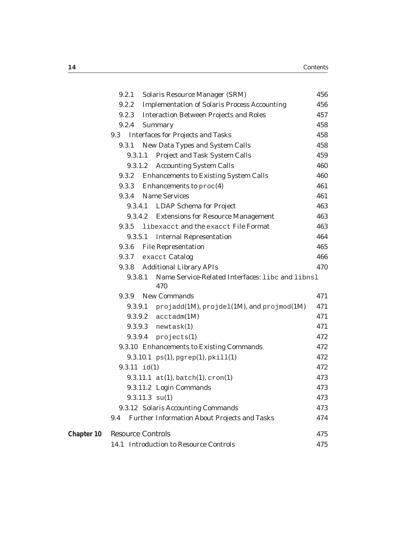|            | 9.2.1                    | <b>Solaris Resource Manager (SRM)</b>                      | 456 |
|------------|--------------------------|------------------------------------------------------------|-----|
|            | 9.2.2                    | <b>Implementation of Solaris Process Accounting</b>        | 456 |
|            | 9.2.3                    | <b>Interaction Between Projects and Roles</b>              | 457 |
|            | 9.2.4                    | Summary                                                    | 458 |
|            | 9.3                      | <b>Interfaces for Projects and Tasks</b>                   | 458 |
|            | 9.3.1                    | <b>New Data Types and System Calls</b>                     | 458 |
|            | 9.3.1.1                  | <b>Project and Task System Calls</b>                       | 459 |
|            | 9.3.1.2                  | <b>Accounting System Calls</b>                             | 460 |
|            | 9.3.2                    | <b>Enhancements to Existing System Calls</b>               | 460 |
|            | 9.3.3                    | Enhancements to $\text{proc}(4)$                           | 461 |
|            | 9.3.4                    | <b>Name Services</b>                                       | 461 |
|            | 9.3.4.1                  | <b>LDAP Schema for Project</b>                             | 463 |
|            | 9.3.4.2                  | <b>Extensions for Resource Management</b>                  | 463 |
|            | 9.3.5                    | libexacct and the exacct File Format                       | 463 |
|            | 9.3.5.1                  | <b>Internal Representation</b>                             | 464 |
|            | 9.3.6                    | <b>File Representation</b>                                 | 465 |
|            | 9.3.7                    | exacct <b>Catalog</b>                                      | 466 |
|            | 9.3.8                    | <b>Additional Library APIs</b>                             | 470 |
|            | 9.3.8.1                  | Name Service-Related Interfaces: libc and libnsl<br>470    |     |
|            | 9.3.9                    | <b>New Commands</b>                                        | 471 |
|            | 9.3.9.1                  | projadd $(1M)$ , projdel $(1M)$ , and projmod $(1M)$       | 471 |
|            |                          | $9.3.9.2$ $\arctan(1M)$                                    | 471 |
|            |                          | $9.3.9.3$ newtask $(1)$                                    | 471 |
|            |                          | $9.3.9.4$ projects $(1)$                                   | 472 |
|            |                          | 9.3.10 Enhancements to Existing Commands                   | 472 |
|            |                          | $9.3.10.1 \text{ ps}(1), \text{pgrep}(1), \text{pkill}(1)$ | 472 |
|            | $9.3.11$ id(1)           |                                                            | 472 |
|            |                          | $9.3.11.1$ at(1), batch(1), cron(1)                        | 473 |
|            |                          | 9.3.11.2 Login Commands                                    | 473 |
|            |                          | $9.3.11.3 \text{ su}(1)$                                   | 473 |
|            |                          | 9.3.12 Solaris Accounting Commands                         | 473 |
|            | 9.4                      | <b>Further Information About Projects and Tasks</b>        | 474 |
| Chapter 10 | <b>Resource Controls</b> |                                                            | 475 |
|            |                          | 14.1 Introduction to Resource Controls                     | 475 |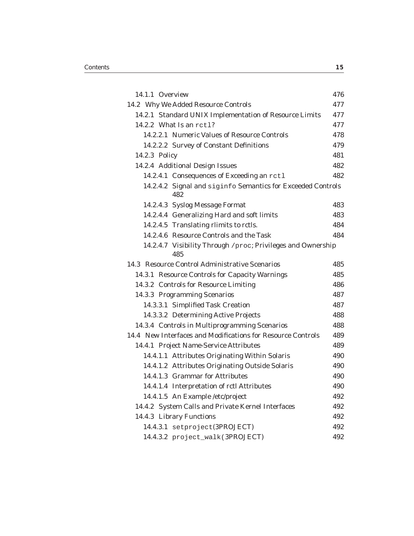| 14.1.1 Overview |                                                                    | 476 |
|-----------------|--------------------------------------------------------------------|-----|
|                 | 14.2 Why We Added Resource Controls                                | 477 |
|                 | 14.2.1 Standard UNIX Implementation of Resource Limits             | 477 |
|                 | 14.2.2 What Is an $rct1$ ?                                         | 477 |
|                 | 14.2.2.1 Numeric Values of Resource Controls                       | 478 |
|                 | 14.2.2.2 Survey of Constant Definitions                            | 479 |
| 14.2.3 Policy   |                                                                    | 481 |
|                 | 14.2.4 Additional Design Issues                                    | 482 |
|                 | 14.2.4.1 Consequences of Exceeding an rctl                         | 482 |
|                 | 14.2.4.2 Signal and siginfo Semantics for Exceeded Controls<br>482 |     |
|                 | 14.2.4.3 Syslog Message Format                                     | 483 |
|                 | 14.2.4.4 Generalizing Hard and soft limits                         | 483 |
|                 | 14.2.4.5 Translating rlimits to rctls.                             | 484 |
|                 | 14.2.4.6 Resource Controls and the Task                            | 484 |
|                 | 14.2.4.7 Visibility Through /proc; Privileges and Ownership<br>485 |     |
|                 | 14.3 Resource Control Administrative Scenarios                     | 485 |
|                 | 14.3.1 Resource Controls for Capacity Warnings                     | 485 |
|                 | 14.3.2 Controls for Resource Limiting                              | 486 |
|                 | 14.3.3 Programming Scenarios                                       | 487 |
|                 | 14.3.3.1 Simplified Task Creation                                  | 487 |
|                 | 14.3.3.2 Determining Active Projects                               | 488 |
|                 | 14.3.4 Controls in Multiprogramming Scenarios                      | 488 |
|                 | 14.4 New Interfaces and Modifications for Resource Controls        | 489 |
|                 | 14.4.1 Project Name-Service Attributes                             | 489 |
|                 | 14.4.1.1 Attributes Originating Within Solaris                     | 490 |
|                 | 14.4.1.2 Attributes Originating Outside Solaris                    | 490 |
|                 | 14.4.1.3 Grammar for Attributes                                    | 490 |
|                 | 14.4.1.4 Interpretation of rctl Attributes                         | 490 |
|                 | 14.4.1.5 An Example /etc/project                                   | 492 |
|                 | 14.4.2 System Calls and Private Kernel Interfaces                  | 492 |
|                 | 14.4.3 Library Functions                                           | 492 |
|                 | 14.4.3.1 setproject(3PROJECT)                                      | 492 |
|                 | 14.4.3.2 project_walk(3PROJECT)                                    | 492 |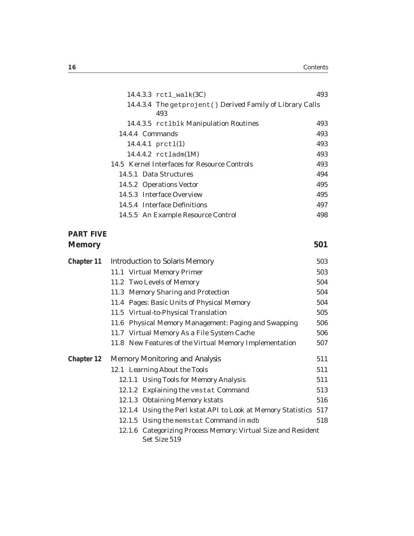| 14.4.3.3 rctl_walk(3C)                                     | 493 |
|------------------------------------------------------------|-----|
| 14.4.3.4 The getprojent () Derived Family of Library Calls |     |
| 493                                                        |     |
| 14.4.3.5 rct1b1k Manipulation Routines                     | 493 |
| 14.4.4 Commands                                            | 493 |
| 14.4.4.1 $pret1(1)$                                        | 493 |
| 14.4.4.2 $rct1$ adm(1M)                                    | 493 |
| 14.5 Kernel Interfaces for Resource Controls               | 493 |
| 14.5.1 Data Structures                                     | 494 |
| 14.5.2 Operations Vector                                   | 495 |
| 14.5.3 Interface Overview                                  | 495 |
| 14.5.4 Interface Definitions                               | 497 |
| 14.5.5 An Example Resource Control                         | 498 |

#### **PART FIVE Memory 501**

| Chapter 11 | Introduction to Solaris Memory                                                | 503 |
|------------|-------------------------------------------------------------------------------|-----|
|            | 11.1 Virtual Memory Primer                                                    | 503 |
|            | 11.2 Two Levels of Memory                                                     | 504 |
|            | 11.3 Memory Sharing and Protection                                            | 504 |
|            | 11.4 Pages: Basic Units of Physical Memory                                    | 504 |
|            | 11.5 Virtual-to-Physical Translation                                          | 505 |
|            | 11.6 Physical Memory Management: Paging and Swapping                          | 506 |
|            | 11.7 Virtual Memory As a File System Cache                                    | 506 |
|            | 11.8 New Features of the Virtual Memory Implementation                        | 507 |
| Chapter 12 | Memory Monitoring and Analysis                                                | 511 |
|            | 12.1 Learning About the Tools                                                 | 511 |
|            | 12.1.1 Using Tools for Memory Analysis                                        | 511 |
|            | 12.1.2 Explaining the vmstat Command                                          | 513 |
|            | 12.1.3 Obtaining Memory kstats                                                | 516 |
|            | 12.1.4 Using the Perl kstat API to Look at Memory Statistics 517              |     |
|            | 12.1.5 Using the memstat Command in mdb                                       | 518 |
|            | 12.1.6 Categorizing Process Memory: Virtual Size and Resident<br>Set Size 519 |     |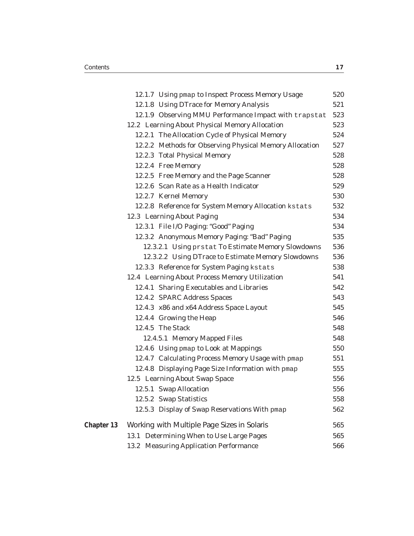|            |      | 12.1.7 Using pmap to Inspect Process Memory Usage       | 520 |
|------------|------|---------------------------------------------------------|-----|
|            |      | 12.1.8 Using DTrace for Memory Analysis                 | 521 |
|            |      | 12.1.9 Observing MMU Performance Impact with trapstat   | 523 |
|            |      | 12.2 Learning About Physical Memory Allocation          | 523 |
|            |      | 12.2.1 The Allocation Cycle of Physical Memory          | 524 |
|            |      | 12.2.2 Methods for Observing Physical Memory Allocation | 527 |
|            |      | 12.2.3 Total Physical Memory                            | 528 |
|            |      | 12.2.4 Free Memory                                      | 528 |
|            |      | 12.2.5 Free Memory and the Page Scanner                 | 528 |
|            |      | 12.2.6 Scan Rate as a Health Indicator                  | 529 |
|            |      | 12.2.7 Kernel Memory                                    | 530 |
|            |      | 12.2.8 Reference for System Memory Allocation kstats    | 532 |
|            |      | 12.3 Learning About Paging                              | 534 |
|            |      | 12.3.1 File I/O Paging: "Good" Paging                   | 534 |
|            |      | 12.3.2 Anonymous Memory Paging: "Bad" Paging            | 535 |
|            |      | 12.3.2.1 Using prstat To Estimate Memory Slowdowns      | 536 |
|            |      | 12.3.2.2 Using DTrace to Estimate Memory Slowdowns      | 536 |
|            |      | 12.3.3 Reference for System Paging kstats               | 538 |
|            |      | 12.4 Learning About Process Memory Utilization          | 541 |
|            |      | 12.4.1 Sharing Executables and Libraries                | 542 |
|            |      | 12.4.2 SPARC Address Spaces                             | 543 |
|            |      | 12.4.3 x86 and x64 Address Space Layout                 | 545 |
|            |      | 12.4.4 Growing the Heap                                 | 546 |
|            |      | 12.4.5 The Stack                                        | 548 |
|            |      | 12.4.5.1 Memory Mapped Files                            | 548 |
|            |      | 12.4.6 Using pmap to Look at Mappings                   | 550 |
|            |      | 12.4.7 Calculating Process Memory Usage with pmap       | 551 |
|            |      | 12.4.8 Displaying Page Size Information with pmap       | 555 |
|            |      | 12.5 Learning About Swap Space                          | 556 |
|            |      | 12.5.1 Swap Allocation                                  | 556 |
|            |      | 12.5.2 Swap Statistics                                  | 558 |
|            |      | 12.5.3 Display of Swap Reservations With pmap           | 562 |
| Chapter 13 |      | Working with Multiple Page Sizes in Solaris             | 565 |
|            | 13.1 | Determining When to Use Large Pages                     | 565 |
|            | 13.2 | <b>Measuring Application Performance</b>                | 566 |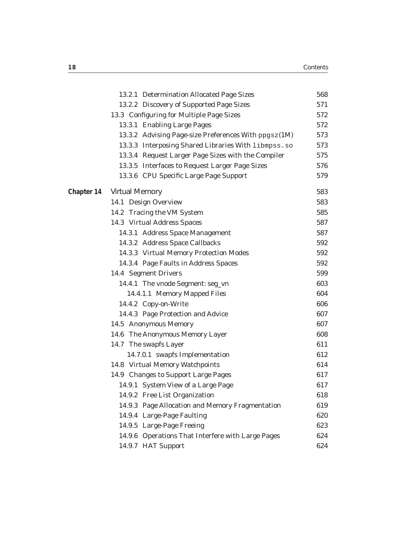|            | 13.2.1 Determination Allocated Page Sizes            | 568 |
|------------|------------------------------------------------------|-----|
|            | 13.2.2 Discovery of Supported Page Sizes             | 571 |
|            | 13.3 Configuring for Multiple Page Sizes             | 572 |
|            | 13.3.1 Enabling Large Pages                          | 572 |
|            | 13.3.2 Advising Page-size Preferences With ppgsz(1M) | 573 |
|            | 13.3.3 Interposing Shared Libraries With libmpss.so  | 573 |
|            | 13.3.4 Request Larger Page Sizes with the Compiler   | 575 |
|            | 13.3.5 Interfaces to Request Larger Page Sizes       | 576 |
|            | 13.3.6 CPU Specific Large Page Support               | 579 |
| Chapter 14 | Virtual Memory                                       | 583 |
|            | 14.1 Design Overview                                 | 583 |
|            | 14.2 Tracing the VM System                           | 585 |
|            | 14.3 Virtual Address Spaces                          | 587 |
|            | 14.3.1 Address Space Management                      | 587 |
|            | 14.3.2 Address Space Callbacks                       | 592 |
|            | 14.3.3 Virtual Memory Protection Modes               | 592 |
|            | 14.3.4 Page Faults in Address Spaces                 | 592 |
|            | 14.4 Segment Drivers                                 | 599 |
|            | 14.4.1 The vnode Segment: seg_vn                     | 603 |
|            | 14.4.1.1 Memory Mapped Files                         | 604 |
|            | 14.4.2 Copy-on-Write                                 | 606 |
|            | 14.4.3 Page Protection and Advice                    | 607 |
|            | 14.5 Anonymous Memory                                | 607 |
|            | 14.6 The Anonymous Memory Layer                      | 608 |
|            | 14.7 The swapfs Layer                                | 611 |
|            | 14.7.0.1 swapfs Implementation                       | 612 |
|            | 14.8 Virtual Memory Watchpoints                      | 614 |
|            | 14.9 Changes to Support Large Pages                  | 617 |
|            | 14.9.1 System View of a Large Page                   | 617 |
|            | 14.9.2 Free List Organization                        | 618 |
|            | 14.9.3 Page Allocation and Memory Fragmentation      | 619 |
|            | 14.9.4 Large-Page Faulting                           | 620 |
|            | 14.9.5 Large-Page Freeing                            | 623 |
|            | 14.9.6 Operations That Interfere with Large Pages    | 624 |
|            | 14.9.7 HAT Support                                   | 624 |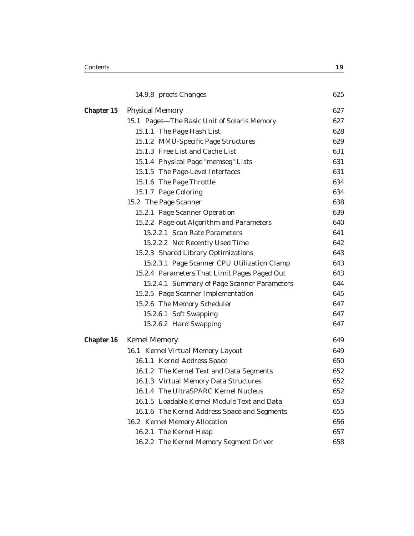|            | 14.9.8 procfs Changes                        | 625 |
|------------|----------------------------------------------|-----|
| Chapter 15 | <b>Physical Memory</b>                       | 627 |
|            | 15.1 Pages—The Basic Unit of Solaris Memory  | 627 |
|            | 15.1.1 The Page Hash List                    | 628 |
|            | 15.1.2 MMU-Specific Page Structures          | 629 |
|            | 15.1.3 Free List and Cache List              | 631 |
|            | 15.1.4 Physical Page "memseg" Lists          | 631 |
|            | 15.1.5 The Page-Level Interfaces             | 631 |
|            | 15.1.6 The Page Throttle                     | 634 |
|            | 15.1.7 Page Coloring                         | 634 |
|            | 15.2 The Page Scanner                        | 638 |
|            | 15.2.1 Page Scanner Operation                | 639 |
|            | 15.2.2 Page-out Algorithm and Parameters     | 640 |
|            | 15.2.2.1 Scan Rate Parameters                | 641 |
|            | 15.2.2.2 Not Recently Used Time              | 642 |
|            | 15.2.3 Shared Library Optimizations          | 643 |
|            | 15.2.3.1 Page Scanner CPU Utilization Clamp  | 643 |
|            | 15.2.4 Parameters That Limit Pages Paged Out | 643 |
|            | 15.2.4.1 Summary of Page Scanner Parameters  | 644 |
|            | 15.2.5 Page Scanner Implementation           | 645 |
|            | 15.2.6 The Memory Scheduler                  | 647 |
|            | 15.2.6.1 Soft Swapping                       | 647 |
|            | 15.2.6.2 Hard Swapping                       | 647 |
| Chapter 16 | Kernel Memory                                | 649 |
|            | 16.1 Kernel Virtual Memory Layout            | 649 |
|            | 16.1.1 Kernel Address Space                  | 650 |
|            | 16.1.2 The Kernel Text and Data Segments     | 652 |
|            | 16.1.3 Virtual Memory Data Structures        | 652 |
|            | 16.1.4 The UltraSPARC Kernel Nucleus         | 652 |
|            | 16.1.5 Loadable Kernel Module Text and Data  | 653 |
|            | 16.1.6 The Kernel Address Space and Segments | 655 |
|            | 16.2 Kernel Memory Allocation                | 656 |
|            | 16.2.1 The Kernel Heap                       | 657 |
|            | 16.2.2 The Kernel Memory Segment Driver      | 658 |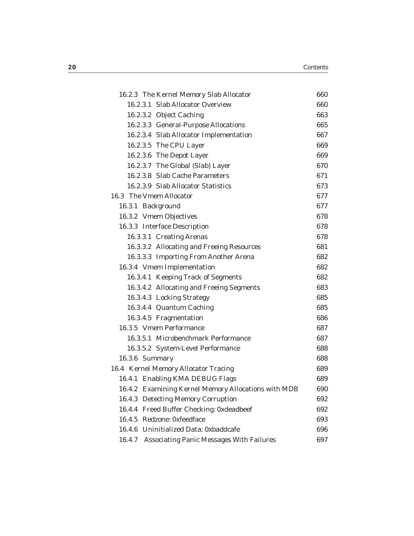| 16.2.3 The Kernel Memory Slab Allocator                   | 660 |
|-----------------------------------------------------------|-----|
| 16.2.3.1 Slab Allocator Overview                          | 660 |
| 16.2.3.2 Object Caching                                   | 663 |
| 16.2.3.3 General-Purpose Allocations                      | 665 |
| 16.2.3.4 Slab Allocator Implementation                    | 667 |
| 16.2.3.5 The CPU Layer                                    | 669 |
| 16.2.3.6 The Depot Layer                                  | 669 |
| 16.2.3.7 The Global (Slab) Layer                          | 670 |
| 16.2.3.8 Slab Cache Parameters                            | 671 |
| 16.2.3.9 Slab Allocator Statistics                        | 673 |
| 16.3 The Vmem Allocator                                   | 677 |
| 16.3.1 Background                                         | 677 |
| 16.3.2 Vmem Objectives                                    | 678 |
| 16.3.3 Interface Description                              | 678 |
| 16.3.3.1 Creating Arenas                                  | 678 |
| 16.3.3.2 Allocating and Freeing Resources                 | 681 |
| 16.3.3.3 Importing From Another Arena                     | 682 |
| 16.3.4 Vmem Implementation                                | 682 |
| 16.3.4.1 Keeping Track of Segments                        | 682 |
| 16.3.4.2 Allocating and Freeing Segments                  | 683 |
| 16.3.4.3 Locking Strategy                                 | 685 |
| 16.3.4.4 Quantum Caching                                  | 685 |
| 16.3.4.5 Fragmentation                                    | 686 |
| 16.3.5 Vmem Performance                                   | 687 |
| 16.3.5.1 Microbenchmark Performance                       | 687 |
| 16.3.5.2 System-Level Performance                         | 688 |
| 16.3.6 Summary                                            | 688 |
| 16.4 Kernel Memory Allocator Tracing                      | 689 |
| 16.4.1 Enabling KMA DEBUG Flags                           | 689 |
| 16.4.2 Examining Kernel Memory Allocations with MDB       | 690 |
| 16.4.3 Detecting Memory Corruption                        | 692 |
| 16.4.4 Freed Buffer Checking: 0xdeadbeef                  | 692 |
| 16.4.5 Redzone: 0xfeedface                                | 693 |
| 16.4.6 Uninitialized Data: 0xbaddcafe                     | 696 |
| <b>Associating Panic Messages With Failures</b><br>16.4.7 | 697 |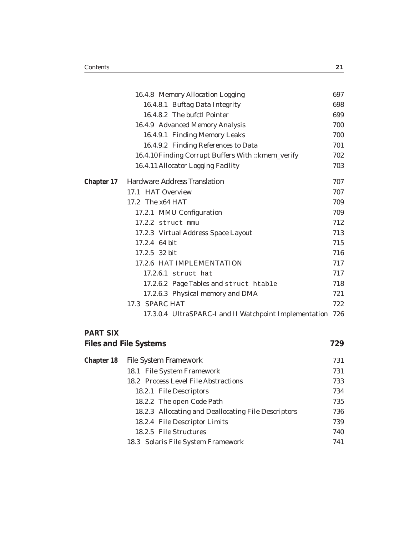|                 | 16.4.8 Memory Allocation Logging                           | 697 |
|-----------------|------------------------------------------------------------|-----|
|                 | 16.4.8.1 Buftag Data Integrity                             | 698 |
|                 | 16.4.8.2 The bufctl Pointer                                | 699 |
|                 | 16.4.9 Advanced Memory Analysis                            | 700 |
|                 | 16.4.9.1 Finding Memory Leaks                              | 700 |
|                 | 16.4.9.2 Finding References to Data                        | 701 |
|                 | 16.4.10 Finding Corrupt Buffers With :: kmem_verify        | 702 |
|                 | 16.4.11 Allocator Logging Facility                         | 703 |
| Chapter 17      | <b>Hardware Address Translation</b>                        | 707 |
|                 | 17.1 HAT Overview                                          | 707 |
|                 | 17.2 The x64 HAT                                           | 709 |
|                 | 17.2.1 MMU Configuration                                   | 709 |
|                 | 17.2.2 struct mmu                                          | 712 |
|                 | 17.2.3 Virtual Address Space Layout                        | 713 |
|                 | 17.2.4 64 bit                                              | 715 |
|                 | 17.2.5 32 bit                                              | 716 |
|                 | 17.2.6 HAT IMPLEMENTATION                                  | 717 |
|                 | 17.2.6.1 struct hat                                        | 717 |
|                 | 17.2.6.2 Page Tables and struct htable                     | 718 |
|                 | 17.2.6.3 Physical memory and DMA                           | 721 |
|                 | 17.3 SPARC HAT                                             | 722 |
|                 | 17.3.0.4 UltraSPARC-I and II Watchpoint Implementation 726 |     |
| <b>PART SIX</b> |                                                            |     |
|                 | <b>Files and File Systems</b>                              | 729 |
| Chapter 18      | File System Framework                                      | 731 |
|                 | 18.1 File System Framework                                 | 731 |
|                 | 18.2 Process Level File Abstractions                       | 733 |
|                 | 18.2.1 File Descriptors                                    | 734 |
|                 | 18.2.2 The open Code Path                                  | 735 |
|                 | 18.2.3 Allocating and Deallocating File Descriptors        | 736 |
|                 | 18.2.4 File Descriptor Limits                              | 739 |
|                 | 18.2.5 File Structures                                     | 740 |
|                 | 18.3 Solaris File System Framework                         | 741 |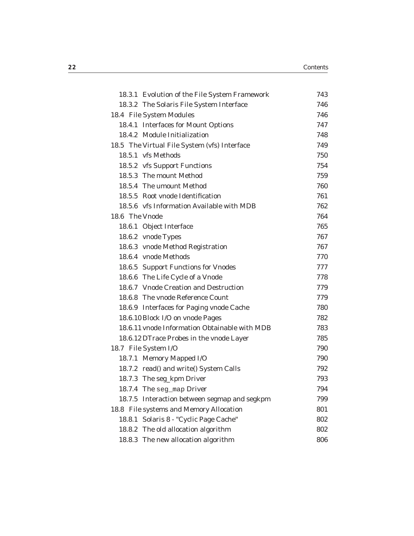| 18.3.1 Evolution of the File System Framework | 743 |
|-----------------------------------------------|-----|
| 18.3.2 The Solaris File System Interface      | 746 |
| 18.4 File System Modules                      | 746 |
| 18.4.1 Interfaces for Mount Options           | 747 |
| 18.4.2 Module Initialization                  | 748 |
| 18.5 The Virtual File System (vfs) Interface  | 749 |
| 18.5.1 vfs Methods                            | 750 |
| 18.5.2 vfs Support Functions                  | 754 |
| 18.5.3 The mount Method                       | 759 |
| 18.5.4 The umount Method                      | 760 |
| 18.5.5 Root vnode Identification              | 761 |
| 18.5.6 vfs Information Available with MDB     | 762 |
| 18.6 The Vnode                                | 764 |
| 18.6.1 Object Interface                       | 765 |
| 18.6.2 vnode Types                            | 767 |
| 18.6.3 vnode Method Registration              | 767 |
| 18.6.4 vnode Methods                          | 770 |
| 18.6.5 Support Functions for Vnodes           | 777 |
| 18.6.6 The Life Cycle of a Vnode              | 778 |
| 18.6.7 Vnode Creation and Destruction         | 779 |
| 18.6.8 The vnode Reference Count              | 779 |
| 18.6.9 Interfaces for Paging vnode Cache      | 780 |
| 18.6.10 Block I/O on vnode Pages              | 782 |
| 18.6.11 vnode Information Obtainable with MDB | 783 |
| 18.6.12 DTrace Probes in the vnode Layer      | 785 |
| 18.7 File System I/O                          | 790 |
| 18.7.1 Memory Mapped I/O                      | 790 |
| 18.7.2 read() and write() System Calls        | 792 |
| 18.7.3 The seg_kpm Driver                     | 793 |
| 18.7.4 The seg_map Driver                     | 794 |
| 18.7.5 Interaction between segmap and segkpm  | 799 |
| 18.8 File systems and Memory Allocation       | 801 |
| Solaris 8 - "Cyclic Page Cache"<br>18.8.1     | 802 |
| 18.8.2 The old allocation algorithm           | 802 |
| 18.8.3 The new allocation algorithm           | 806 |
|                                               |     |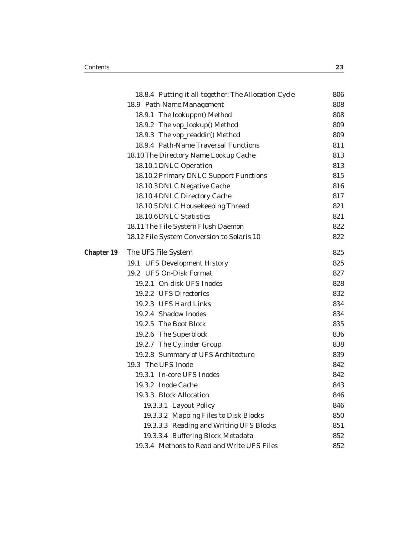**Chapter** 

|    | 18.8.4 Putting it all together: The Allocation Cycle | 806 |
|----|------------------------------------------------------|-----|
|    | 18.9 Path-Name Management                            | 808 |
|    | 18.9.1 The lookuppn() Method                         | 808 |
|    | 18.9.2 The vop_lookup() Method                       | 809 |
|    | 18.9.3 The vop_readdir() Method                      | 809 |
|    | 18.9.4 Path-Name Traversal Functions                 | 811 |
|    | 18.10 The Directory Name Lookup Cache                | 813 |
|    | 18.10.1 DNLC Operation                               | 813 |
|    | 18.10.2 Primary DNLC Support Functions               | 815 |
|    | 18.10.3 DNLC Negative Cache                          | 816 |
|    | 18.10.4 DNLC Directory Cache                         | 817 |
|    | 18.10.5 DNLC Housekeeping Thread                     | 821 |
|    | 18.10.6 DNLC Statistics                              | 821 |
|    | 18.11 The File System Flush Daemon                   | 822 |
|    | 18.12 File System Conversion to Solaris 10           | 822 |
| 19 | The UFS File System                                  | 825 |
|    | 19.1 UFS Development History                         | 825 |
|    | 19.2 UFS On-Disk Format                              | 827 |
|    | 19.2.1 On-disk UFS Inodes                            | 828 |
|    | 19.2.2 UFS Directories                               | 832 |
|    | 19.2.3 UFS Hard Links                                | 834 |
|    | 19.2.4 Shadow Inodes                                 | 834 |
|    | 19.2.5 The Boot Block                                | 835 |
|    | 19.2.6 The Superblock                                | 836 |
|    | 19.2.7 The Cylinder Group                            | 838 |
|    | 19.2.8 Summary of UFS Architecture                   | 839 |
|    | 19.3 The UFS Inode                                   | 842 |
|    | 19.3.1 In-core UFS Inodes                            | 842 |
|    | 19.3.2 Inode Cache                                   | 843 |
|    | 19.3.3 Block Allocation                              | 846 |
|    | 19.3.3.1 Layout Policy                               | 846 |
|    | 19.3.3.2 Mapping Files to Disk Blocks                | 850 |
|    | 19.3.3.3 Reading and Writing UFS Blocks              | 851 |
|    | 19.3.3.4 Buffering Block Metadata                    | 852 |
|    | 19.3.4 Methods to Read and Write UFS Files           | 852 |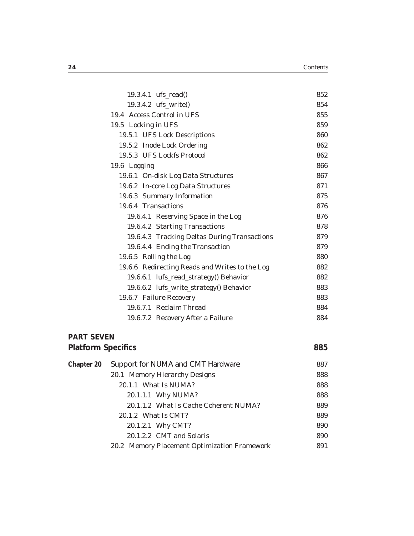| 19.3.4.1 ufs_read()                            | 852 |
|------------------------------------------------|-----|
| 19.3.4.2 ufs_write()                           | 854 |
| 19.4 Access Control in UFS                     | 855 |
| 19.5 Locking in UFS                            | 859 |
| 19.5.1 UFS Lock Descriptions                   | 860 |
| 19.5.2 Inode Lock Ordering                     | 862 |
| 19.5.3 UFS Lockfs Protocol                     | 862 |
| 19.6 Logging                                   | 866 |
| 19.6.1 On-disk Log Data Structures             | 867 |
| 19.6.2 In-core Log Data Structures             | 871 |
| 19.6.3 Summary Information                     | 875 |
| 19.6.4 Transactions                            | 876 |
| 19.6.4.1 Reserving Space in the Log            | 876 |
| 19.6.4.2 Starting Transactions                 | 878 |
| 19.6.4.3 Tracking Deltas During Transactions   | 879 |
| 19.6.4.4 Ending the Transaction                | 879 |
| 19.6.5 Rolling the Log                         | 880 |
| 19.6.6 Redirecting Reads and Writes to the Log | 882 |
| 19.6.6.1 lufs_read_strategy() Behavior         | 882 |
| 19.6.6.2 lufs_write_strategy() Behavior        | 883 |
| 19.6.7 Failure Recovery                        | 883 |
| 19.6.7.1 Reclaim Thread                        | 884 |
| 19.6.7.2 Recovery After a Failure              | 884 |

#### **PART SEVEN**

| <b>Platform Specifics</b> |                                              | 885 |
|---------------------------|----------------------------------------------|-----|
| Chapter 20                | Support for NUMA and CMT Hardware            | 887 |
|                           | 20.1 Memory Hierarchy Designs                | 888 |
|                           | 20.1.1 What Is NUMA?                         | 888 |
|                           | 20.1.1.1 Why NUMA?                           | 888 |
|                           | 20.1.1.2 What Is Cache Coherent NUMA?        | 889 |
|                           | 20.1.2 What Is CMT?                          | 889 |
|                           | 20.1.2.1 Why CMT?                            | 890 |
|                           | 20.1.2.2 CMT and Solaris                     | 890 |
|                           | 20.2 Memory Placement Optimization Framework | 891 |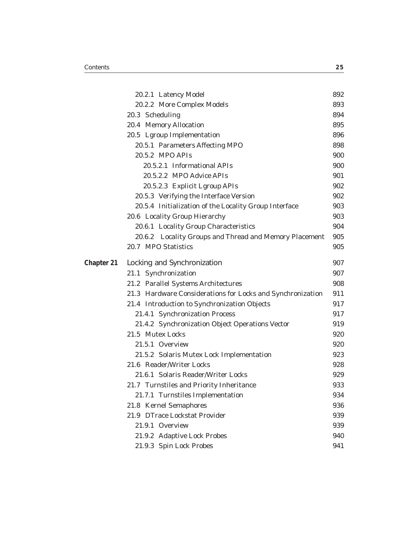|            | 20.2.1 Latency Model                                       | 892 |
|------------|------------------------------------------------------------|-----|
|            | 20.2.2 More Complex Models                                 | 893 |
|            | 20.3 Scheduling                                            | 894 |
|            | 20.4 Memory Allocation                                     | 895 |
|            | 20.5 Lgroup Implementation                                 | 896 |
|            | 20.5.1 Parameters Affecting MPO                            | 898 |
|            | 20.5.2 MPO APIs                                            | 900 |
|            | 20.5.2.1 Informational APIs                                | 900 |
|            | 20.5.2.2 MPO Advice APIs                                   | 901 |
|            | 20.5.2.3 Explicit Lgroup APIs                              | 902 |
|            | 20.5.3 Verifying the Interface Version                     | 902 |
|            | 20.5.4 Initialization of the Locality Group Interface      | 903 |
|            | 20.6 Locality Group Hierarchy                              | 903 |
|            | 20.6.1 Locality Group Characteristics                      | 904 |
|            | 20.6.2 Locality Groups and Thread and Memory Placement     | 905 |
|            | 20.7 MPO Statistics                                        | 905 |
| Chapter 21 | Locking and Synchronization                                | 907 |
|            | 21.1 Synchronization                                       | 907 |
|            | 21.2 Parallel Systems Architectures                        | 908 |
|            | 21.3 Hardware Considerations for Locks and Synchronization | 911 |
|            | 21.4 Introduction to Synchronization Objects               | 917 |
|            | 21.4.1 Synchronization Process                             | 917 |
|            | 21.4.2 Synchronization Object Operations Vector            | 919 |
|            | 21.5 Mutex Locks                                           | 920 |
|            | 21.5.1 Overview                                            | 920 |
|            | 21.5.2 Solaris Mutex Lock Implementation                   | 923 |
|            | 21.6 Reader/Writer Locks                                   | 928 |
|            | 21.6.1 Solaris Reader/Writer Locks                         | 929 |
|            | 21.7 Turnstiles and Priority Inheritance                   | 933 |
|            | 21.7.1 Turnstiles Implementation                           | 934 |
|            | 21.8 Kernel Semaphores                                     | 936 |
|            | 21.9 DTrace Lockstat Provider                              | 939 |
|            | 21.9.1 Overview                                            | 939 |
|            | 21.9.2 Adaptive Lock Probes                                | 940 |
|            | 21.9.3 Spin Lock Probes                                    | 941 |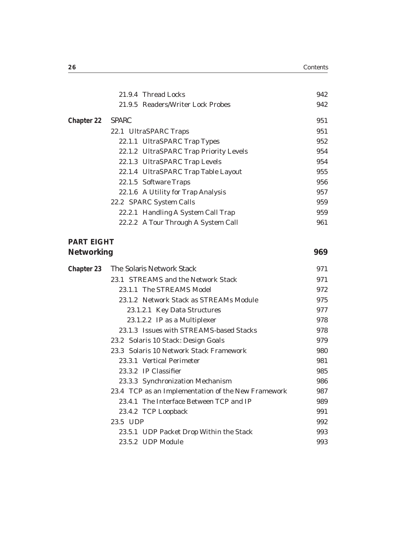|                                 | 21.9.4 Thread Locks                                | 942 |
|---------------------------------|----------------------------------------------------|-----|
|                                 | 21.9.5 Readers/Writer Lock Probes                  | 942 |
| Chapter 22                      | <b>SPARC</b>                                       | 951 |
|                                 | 22.1 UltraSPARC Traps                              | 951 |
|                                 | 22.1.1 UltraSPARC Trap Types                       | 952 |
|                                 | 22.1.2 UltraSPARC Trap Priority Levels             | 954 |
|                                 | 22.1.3 UltraSPARC Trap Levels                      | 954 |
|                                 | 22.1.4 UltraSPARC Trap Table Layout                | 955 |
|                                 | 22.1.5 Software Traps                              | 956 |
|                                 | 22.1.6 A Utility for Trap Analysis                 | 957 |
|                                 | 22.2 SPARC System Calls                            | 959 |
|                                 | 22.2.1 Handling A System Call Trap                 | 959 |
|                                 | 22.2.2 A Tour Through A System Call                | 961 |
| <b>PART EIGHT</b><br>Networking |                                                    | 969 |
| Chapter 23                      | The Solaris Network Stack                          | 971 |
|                                 | 23.1 STREAMS and the Network Stack                 | 971 |
|                                 | 23.1.1 The STREAMS Model                           | 972 |
|                                 | 23.1.2 Network Stack as STREAMs Module             | 975 |
|                                 | 23.1.2.1 Key Data Structures                       | 977 |
|                                 | 23.1.2.2 IP as a Multiplexer                       | 978 |
|                                 | 23.1.3 Issues with STREAMS-based Stacks            | 978 |
|                                 | 23.2 Solaris 10 Stack: Design Goals                | 979 |
|                                 | 23.3 Solaris 10 Network Stack Framework            | 980 |
|                                 | 23.3.1 Vertical Perimeter                          | 981 |
|                                 | 23.3.2 IP Classifier                               | 985 |
|                                 | 23.3.3 Synchronization Mechanism                   | 986 |
|                                 | 23.4 TCP as an Implementation of the New Framework | 987 |
|                                 | 23.4.1 The Interface Between TCP and IP            | 989 |
|                                 | 23.4.2 TCP Loopback                                | 991 |

23.5 UDP 992 23.5.1 UDP Packet Drop Within the Stack 993 23.5.2 UDP Module 993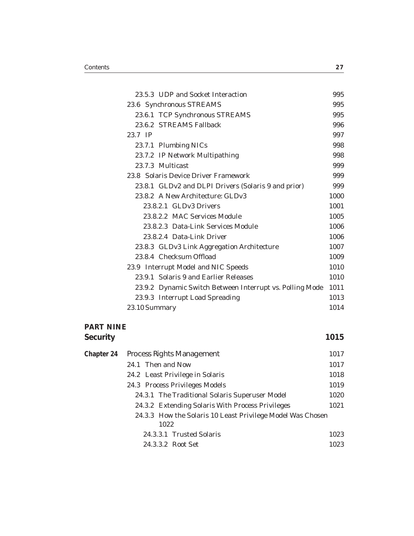| 23.5.3 UDP and Socket Interaction                        | 995  |
|----------------------------------------------------------|------|
| 23.6 Synchronous STREAMS                                 | 995  |
| 23.6.1 TCP Synchronous STREAMS                           | 995  |
| 23.6.2 STREAMS Fallback                                  | 996  |
| 23.7 IP                                                  | 997  |
| 23.7.1 Plumbing NICs                                     | 998  |
| 23.7.2 IP Network Multipathing                           | 998  |
| 23.7.3 Multicast                                         | 999  |
| 23.8 Solaris Device Driver Framework                     | 999  |
| 23.8.1 GLDv2 and DLPI Drivers (Solaris 9 and prior)      | 999  |
| 23.8.2 A New Architecture: GLDv3                         | 1000 |
| 23.8.2.1 GLDv3 Drivers                                   | 1001 |
| 23.8.2.2 MAC Services Module                             | 1005 |
| 23.8.2.3 Data-Link Services Module                       | 1006 |
| 23.8.2.4 Data-Link Driver                                | 1006 |
| 23.8.3 GLDv3 Link Aggregation Architecture               | 1007 |
| 23.8.4 Checksum Offload                                  | 1009 |
| 23.9 Interrupt Model and NIC Speeds                      | 1010 |
| 23.9.1 Solaris 9 and Earlier Releases                    | 1010 |
| 23.9.2 Dynamic Switch Between Interrupt vs. Polling Mode | 1011 |
| 23.9.3 Interrupt Load Spreading                          | 1013 |
| 23.10 Summary                                            | 1014 |

#### **PART NINE Security** 1015

| Chapter 24 | Process Rights Management                                          | 1017 |
|------------|--------------------------------------------------------------------|------|
|            | 24.1 Then and Now                                                  | 1017 |
|            | 24.2 Least Privilege in Solaris                                    | 1018 |
|            | 24.3 Process Privileges Models                                     | 1019 |
|            | 24.3.1 The Traditional Solaris Superuser Model                     | 1020 |
|            | 24.3.2 Extending Solaris With Process Privileges                   | 1021 |
|            | 24.3.3 How the Solaris 10 Least Privilege Model Was Chosen<br>1022 |      |
|            | 24.3.3.1 Trusted Solaris                                           | 1023 |
|            | 24.3.3.2 Root Set                                                  | 1023 |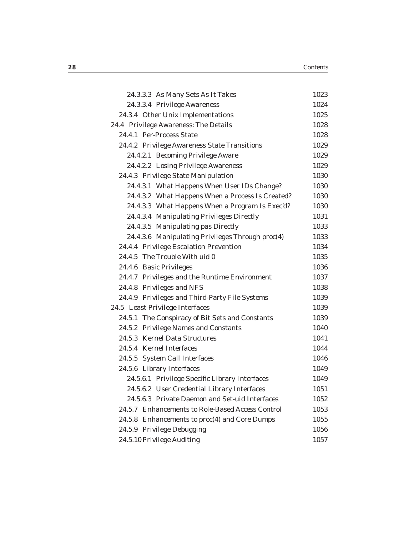| 1023 |
|------|
| 1024 |
| 1025 |
| 1028 |
| 1028 |
| 1029 |
| 1029 |
| 1029 |
| 1030 |
| 1030 |
| 1030 |
| 1030 |
| 1031 |
| 1033 |
| 1033 |
| 1034 |
| 1035 |
| 1036 |
| 1037 |
| 1038 |
| 1039 |
| 1039 |
| 1039 |
| 1040 |
| 1041 |
| 1044 |
| 1046 |
| 1049 |
| 1049 |
| 1051 |
| 1052 |
| 1053 |
| 1055 |
| 1056 |
| 1057 |
|      |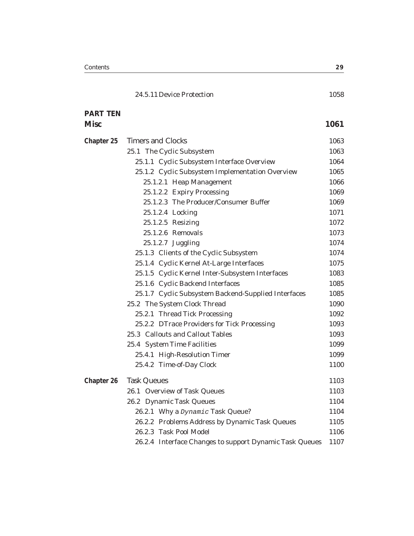| <b>PART TEN</b> |                                                         |      |
|-----------------|---------------------------------------------------------|------|
| <b>Misc</b>     |                                                         | 1061 |
| Chapter 25      | <b>Timers and Clocks</b>                                | 1063 |
|                 | 25.1 The Cyclic Subsystem                               | 1063 |
|                 | 25.1.1 Cyclic Subsystem Interface Overview              | 1064 |
|                 | 25.1.2 Cyclic Subsystem Implementation Overview         | 1065 |
|                 | 25.1.2.1 Heap Management                                | 1066 |
|                 | 25.1.2.2 Expiry Processing                              | 1069 |
|                 | 25.1.2.3 The Producer/Consumer Buffer                   | 1069 |
|                 | 25.1.2.4 Locking                                        | 1071 |
|                 | 25.1.2.5 Resizing                                       | 1072 |
|                 | 25.1.2.6 Removals                                       | 1073 |
|                 | 25.1.2.7 Juggling                                       | 1074 |
|                 | 25.1.3 Clients of the Cyclic Subsystem                  | 1074 |
|                 | 25.1.4 Cyclic Kernel At-Large Interfaces                | 1075 |
|                 | 25.1.5 Cyclic Kernel Inter-Subsystem Interfaces         | 1083 |
|                 | 25.1.6 Cyclic Backend Interfaces                        | 1085 |
|                 | 25.1.7 Cyclic Subsystem Backend-Supplied Interfaces     | 1085 |
|                 | 25.2 The System Clock Thread                            | 1090 |
|                 | 25.2.1 Thread Tick Processing                           | 1092 |
|                 | 25.2.2 DTrace Providers for Tick Processing             | 1093 |
|                 | 25.3 Callouts and Callout Tables                        | 1093 |
|                 | 25.4 System Time Facilities                             | 1099 |
|                 | 25.4.1 High-Resolution Timer                            | 1099 |
|                 | 25.4.2 Time-of-Day Clock                                | 1100 |
| Chapter 26      | <b>Task Queues</b>                                      | 1103 |
|                 | 26.1 Overview of Task Queues                            | 1103 |
|                 | 26.2 Dynamic Task Queues                                | 1104 |
|                 | 26.2.1 Why a Dynamic Task Queue?                        | 1104 |
|                 | 26.2.2 Problems Address by Dynamic Task Queues          | 1105 |
|                 | 26.2.3 Task Pool Model                                  | 1106 |
|                 | 26.2.4 Interface Changes to support Dynamic Task Queues | 1107 |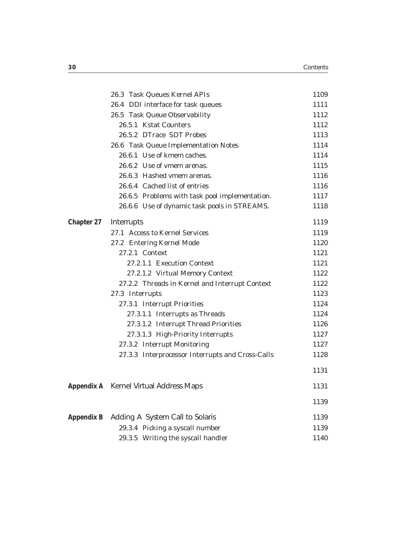|                   | 26.3 Task Queues Kernel APIs                     | 1109 |
|-------------------|--------------------------------------------------|------|
|                   | 26.4 DDI interface for task queues               | 1111 |
|                   | 26.5 Task Queue Observability                    | 1112 |
|                   | 26.5.1 Kstat Counters                            | 1112 |
|                   | 26.5.2 DTrace SDT Probes                         | 1113 |
|                   | 26.6 Task Queue Implementation Notes             | 1114 |
|                   | 26.6.1 Use of kmem caches.                       | 1114 |
|                   | 26.6.2 Use of vmem arenas.                       | 1115 |
|                   | 26.6.3 Hashed vmem arenas.                       | 1116 |
|                   | 26.6.4 Cached list of entries                    | 1116 |
|                   | 26.6.5 Problems with task pool implementation.   | 1117 |
|                   | 26.6.6 Use of dynamic task pools in STREAMS.     | 1118 |
| Chapter 27        | Interrupts                                       | 1119 |
|                   | 27.1 Access to Kernel Services                   | 1119 |
|                   | 27.2 Entering Kernel Mode                        | 1120 |
|                   | 27.2.1 Context                                   | 1121 |
|                   | 27.2.1.1 Execution Context                       | 1121 |
|                   | 27.2.1.2 Virtual Memory Context                  | 1122 |
|                   | 27.2.2 Threads in Kernel and Interrupt Context   | 1122 |
|                   | 27.3 Interrupts                                  | 1123 |
|                   | 27.3.1 Interrupt Priorities                      | 1124 |
|                   | 27.3.1.1 Interrupts as Threads                   | 1124 |
|                   | 27.3.1.2 Interrupt Thread Priorities             | 1126 |
|                   | 27.3.1.3 High-Priority Interrupts                | 1127 |
|                   | 27.3.2 Interrupt Monitoring                      | 1127 |
|                   | 27.3.3 Interprocessor Interrupts and Cross-Calls | 1128 |
|                   |                                                  | 1131 |
|                   | Appendix A Kernel Virtual Address Maps           | 1131 |
|                   |                                                  | 1139 |
| <b>Appendix B</b> | Adding A System Call to Solaris                  | 1139 |
|                   | 29.3.4 Picking a syscall number                  | 1139 |
|                   | 29.3.5 Writing the syscall handler               | 1140 |